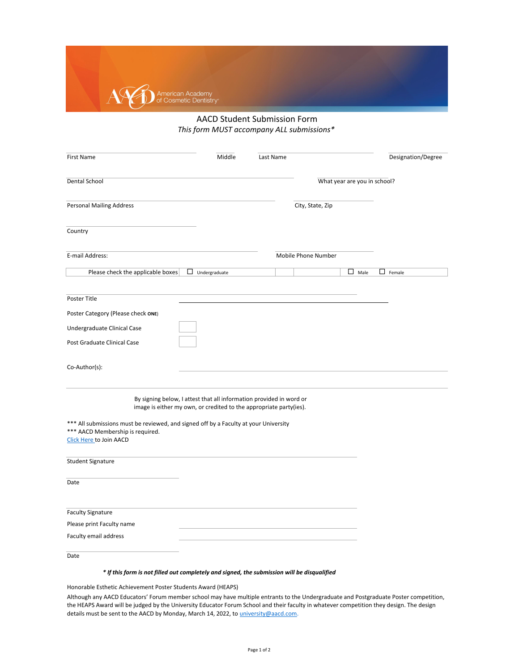[Click Here to Join AACD](https://aacd.com/?module=aacd.websiteforms&cmd=joinform) \*\*\* AACD Membership is required. \*\*\* All submissions must be reviewed, and signed off by a Faculty at your University

| <b>Student Signature</b>     |  |
|------------------------------|--|
| Date                         |  |
| <b>Faculty Signature</b>     |  |
| Please print Faculty name    |  |
| <b>Faculty email address</b> |  |

[Although any AACD Educators' Forum mem](mailto:university@aacd.com)ber school may have multiple entrants to the Undergraduate and Postgraduate Poster competition, [the HEAPS Award will be judged by the Uni](mailto:university@aacd.com)versity Educator Forum School and their faculty in whatever competition they design. The design details must be sent to the AACD by Monday, March 14, 2022, to *university@aacd.com.* 

Date

Honorable Esthetic Achievement Poster Students Award (HEAPS)

| <b>First Name</b>                  | Middle                  | <b>Last Name</b> |                              | Designation/Degree |
|------------------------------------|-------------------------|------------------|------------------------------|--------------------|
| <b>Dental School</b>               |                         |                  | What year are you in school? |                    |
| <b>Personal Mailing Address</b>    |                         |                  | City, State, Zip             |                    |
| Country                            |                         |                  |                              |                    |
| E-mail Address:                    |                         |                  | <b>Mobile Phone Number</b>   |                    |
| Please check the applicable boxes  | $\Box$<br>Undergraduate |                  | $\Box$ Male                  | □<br>Female        |
| Poster Title                       |                         |                  |                              |                    |
| Poster Category (Please check ONE) |                         |                  |                              |                    |
| Undergraduate Clinical Case        |                         |                  |                              |                    |
| Post Graduate Clinical Case        |                         |                  |                              |                    |
| Co-Author(s):                      |                         |                  |                              |                    |

*\* If this form is not filled out completely and signed, the submission will be disqualified*



## AACD Student Submission Form *This form MUST accompany ALL submissions\**